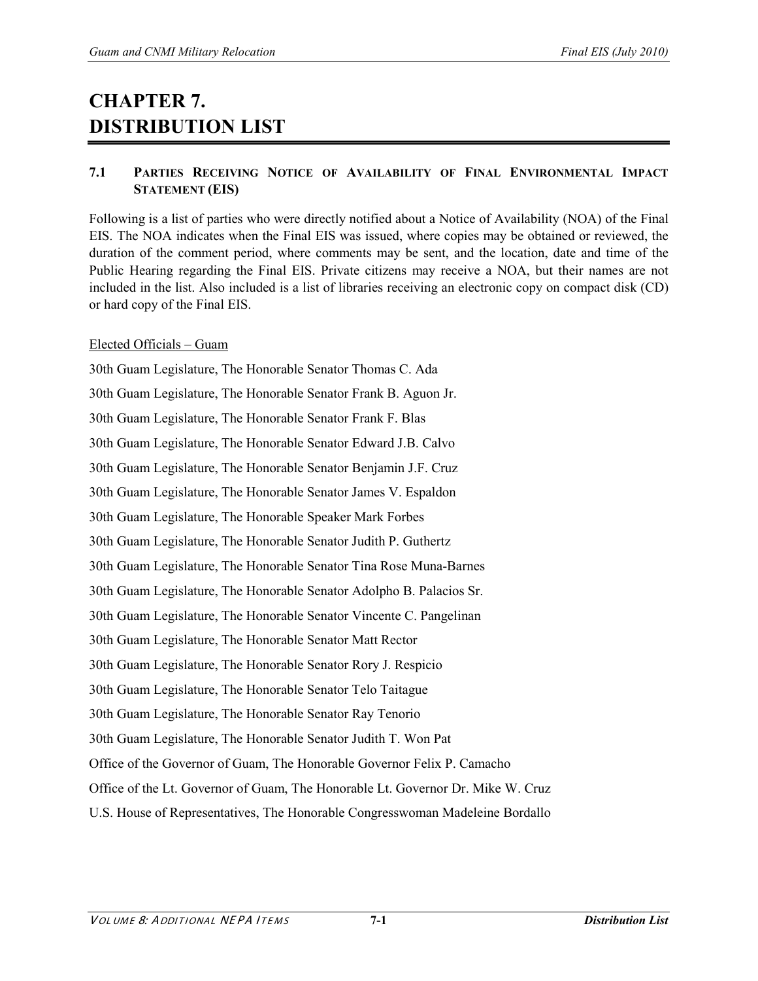# **CHAPTER 7. DISTRIBUTION LIST**

# **7.1 PARTIES RECEIVING NOTICE OF AVAILABILITY OF FINAL ENVIRONMENTAL IMPACT STATEMENT (EIS)**

Following is a list of parties who were directly notified about a Notice of Availability (NOA) of the Final EIS. The NOA indicates when the Final EIS was issued, where copies may be obtained or reviewed, the duration of the comment period, where comments may be sent, and the location, date and time of the Public Hearing regarding the Final EIS. Private citizens may receive a NOA, but their names are not included in the list. Also included is a list of libraries receiving an electronic copy on compact disk (CD) or hard copy of the Final EIS.

# Elected Officials – Guam

30th Guam Legislature, The Honorable Senator Thomas C. Ada 30th Guam Legislature, The Honorable Senator Frank B. Aguon Jr. 30th Guam Legislature, The Honorable Senator Frank F. Blas 30th Guam Legislature, The Honorable Senator Edward J.B. Calvo 30th Guam Legislature, The Honorable Senator Benjamin J.F. Cruz 30th Guam Legislature, The Honorable Senator James V. Espaldon 30th Guam Legislature, The Honorable Speaker Mark Forbes 30th Guam Legislature, The Honorable Senator Judith P. Guthertz 30th Guam Legislature, The Honorable Senator Tina Rose Muna-Barnes 30th Guam Legislature, The Honorable Senator Adolpho B. Palacios Sr. 30th Guam Legislature, The Honorable Senator Vincente C. Pangelinan 30th Guam Legislature, The Honorable Senator Matt Rector 30th Guam Legislature, The Honorable Senator Rory J. Respicio 30th Guam Legislature, The Honorable Senator Telo Taitague 30th Guam Legislature, The Honorable Senator Ray Tenorio 30th Guam Legislature, The Honorable Senator Judith T. Won Pat Office of the Governor of Guam, The Honorable Governor Felix P. Camacho Office of the Lt. Governor of Guam, The Honorable Lt. Governor Dr. Mike W. Cruz U.S. House of Representatives, The Honorable Congresswoman Madeleine Bordallo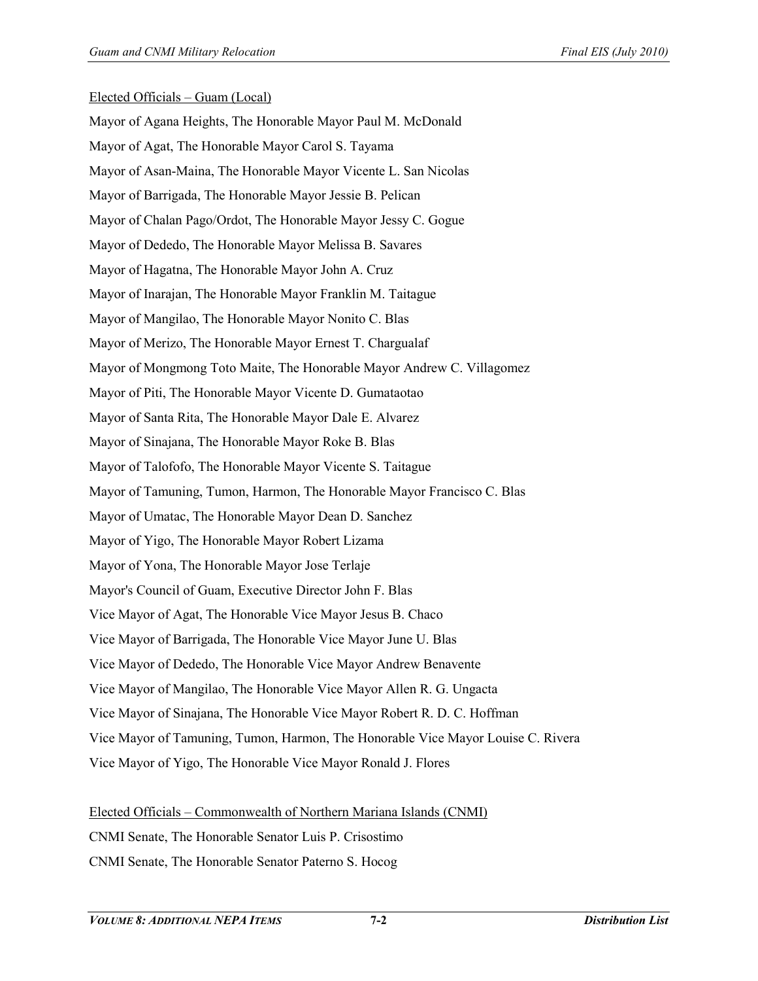### Elected Officials – Guam (Local)

Mayor of Agana Heights, The Honorable Mayor Paul M. McDonald Mayor of Agat, The Honorable Mayor Carol S. Tayama Mayor of Asan-Maina, The Honorable Mayor Vicente L. San Nicolas Mayor of Barrigada, The Honorable Mayor Jessie B. Pelican Mayor of Chalan Pago/Ordot, The Honorable Mayor Jessy C. Gogue Mayor of Dededo, The Honorable Mayor Melissa B. Savares Mayor of Hagatna, The Honorable Mayor John A. Cruz Mayor of Inarajan, The Honorable Mayor Franklin M. Taitague Mayor of Mangilao, The Honorable Mayor Nonito C. Blas Mayor of Merizo, The Honorable Mayor Ernest T. Chargualaf Mayor of Mongmong Toto Maite, The Honorable Mayor Andrew C. Villagomez Mayor of Piti, The Honorable Mayor Vicente D. Gumataotao Mayor of Santa Rita, The Honorable Mayor Dale E. Alvarez Mayor of Sinajana, The Honorable Mayor Roke B. Blas Mayor of Talofofo, The Honorable Mayor Vicente S. Taitague Mayor of Tamuning, Tumon, Harmon, The Honorable Mayor Francisco C. Blas Mayor of Umatac, The Honorable Mayor Dean D. Sanchez Mayor of Yigo, The Honorable Mayor Robert Lizama Mayor of Yona, The Honorable Mayor Jose Terlaje Mayor's Council of Guam, Executive Director John F. Blas Vice Mayor of Agat, The Honorable Vice Mayor Jesus B. Chaco Vice Mayor of Barrigada, The Honorable Vice Mayor June U. Blas Vice Mayor of Dededo, The Honorable Vice Mayor Andrew Benavente Vice Mayor of Mangilao, The Honorable Vice Mayor Allen R. G. Ungacta Vice Mayor of Sinajana, The Honorable Vice Mayor Robert R. D. C. Hoffman Vice Mayor of Tamuning, Tumon, Harmon, The Honorable Vice Mayor Louise C. Rivera Vice Mayor of Yigo, The Honorable Vice Mayor Ronald J. Flores

Elected Officials – Commonwealth of Northern Mariana Islands (CNMI)

CNMI Senate, The Honorable Senator Luis P. Crisostimo

CNMI Senate, The Honorable Senator Paterno S. Hocog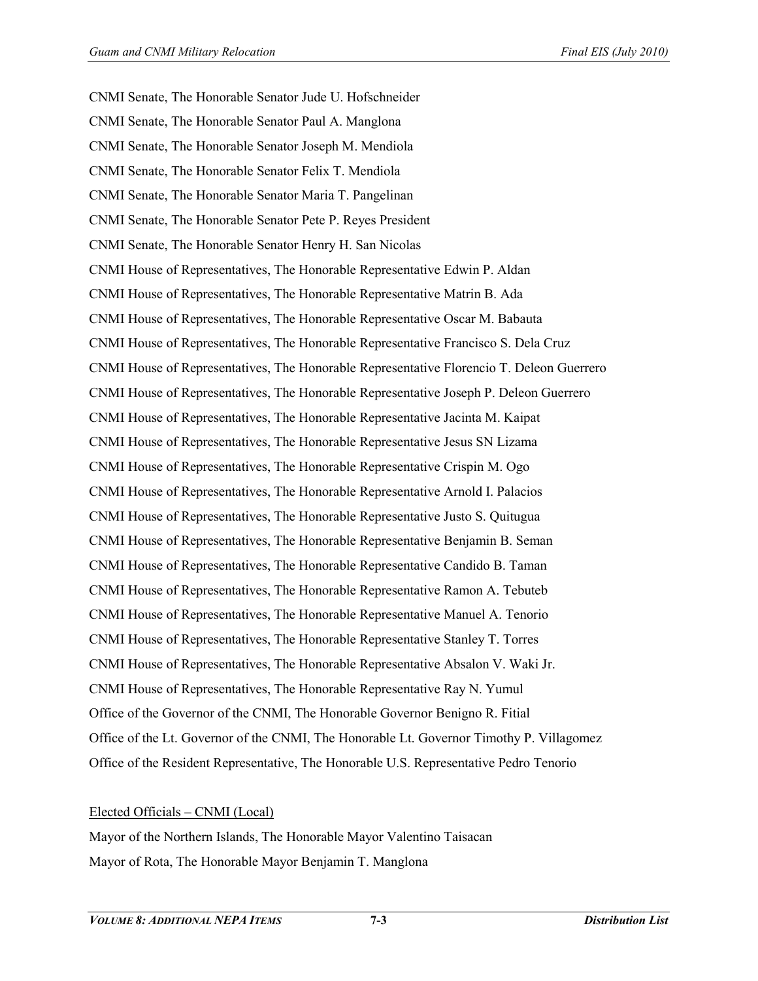CNMI Senate, The Honorable Senator Jude U. Hofschneider CNMI Senate, The Honorable Senator Paul A. Manglona CNMI Senate, The Honorable Senator Joseph M. Mendiola CNMI Senate, The Honorable Senator Felix T. Mendiola CNMI Senate, The Honorable Senator Maria T. Pangelinan CNMI Senate, The Honorable Senator Pete P. Reyes President CNMI Senate, The Honorable Senator Henry H. San Nicolas CNMI House of Representatives, The Honorable Representative Edwin P. Aldan CNMI House of Representatives, The Honorable Representative Matrin B. Ada CNMI House of Representatives, The Honorable Representative Oscar M. Babauta CNMI House of Representatives, The Honorable Representative Francisco S. Dela Cruz CNMI House of Representatives, The Honorable Representative Florencio T. Deleon Guerrero CNMI House of Representatives, The Honorable Representative Joseph P. Deleon Guerrero CNMI House of Representatives, The Honorable Representative Jacinta M. Kaipat CNMI House of Representatives, The Honorable Representative Jesus SN Lizama CNMI House of Representatives, The Honorable Representative Crispin M. Ogo CNMI House of Representatives, The Honorable Representative Arnold I. Palacios CNMI House of Representatives, The Honorable Representative Justo S. Quitugua CNMI House of Representatives, The Honorable Representative Benjamin B. Seman CNMI House of Representatives, The Honorable Representative Candido B. Taman CNMI House of Representatives, The Honorable Representative Ramon A. Tebuteb CNMI House of Representatives, The Honorable Representative Manuel A. Tenorio CNMI House of Representatives, The Honorable Representative Stanley T. Torres CNMI House of Representatives, The Honorable Representative Absalon V. Waki Jr. CNMI House of Representatives, The Honorable Representative Ray N. Yumul Office of the Governor of the CNMI, The Honorable Governor Benigno R. Fitial Office of the Lt. Governor of the CNMI, The Honorable Lt. Governor Timothy P. Villagomez Office of the Resident Representative, The Honorable U.S. Representative Pedro Tenorio

#### Elected Officials – CNMI (Local)

Mayor of the Northern Islands, The Honorable Mayor Valentino Taisacan Mayor of Rota, The Honorable Mayor Benjamin T. Manglona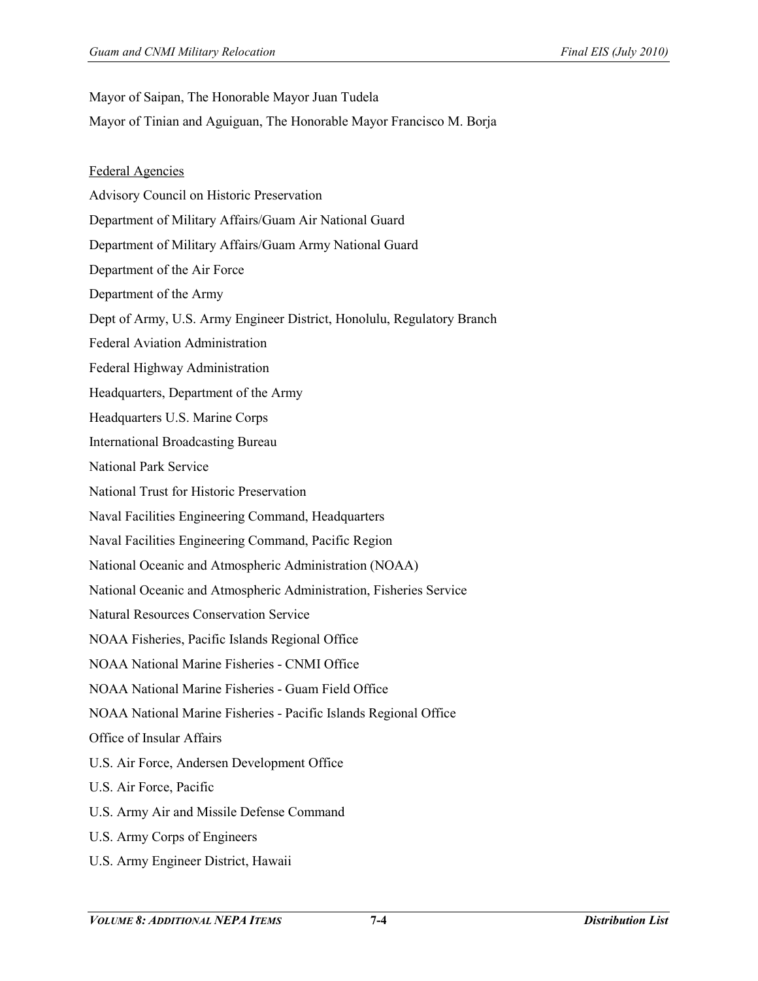Mayor of Saipan, The Honorable Mayor Juan Tudela

- Mayor of Tinian and Aguiguan, The Honorable Mayor Francisco M. Borja
- Federal Agencies
- Advisory Council on Historic Preservation
- Department of Military Affairs/Guam Air National Guard
- Department of Military Affairs/Guam Army National Guard
- Department of the Air Force
- Department of the Army
- Dept of Army, U.S. Army Engineer District, Honolulu, Regulatory Branch
- Federal Aviation Administration
- Federal Highway Administration
- Headquarters, Department of the Army
- Headquarters U.S. Marine Corps
- International Broadcasting Bureau
- National Park Service
- National Trust for Historic Preservation
- Naval Facilities Engineering Command, Headquarters
- Naval Facilities Engineering Command, Pacific Region
- National Oceanic and Atmospheric Administration (NOAA)
- National Oceanic and Atmospheric Administration, Fisheries Service
- Natural Resources Conservation Service
- NOAA Fisheries, Pacific Islands Regional Office
- NOAA National Marine Fisheries CNMI Office
- NOAA National Marine Fisheries Guam Field Office
- NOAA National Marine Fisheries Pacific Islands Regional Office
- Office of Insular Affairs
- U.S. Air Force, Andersen Development Office
- U.S. Air Force, Pacific
- U.S. Army Air and Missile Defense Command
- U.S. Army Corps of Engineers
- U.S. Army Engineer District, Hawaii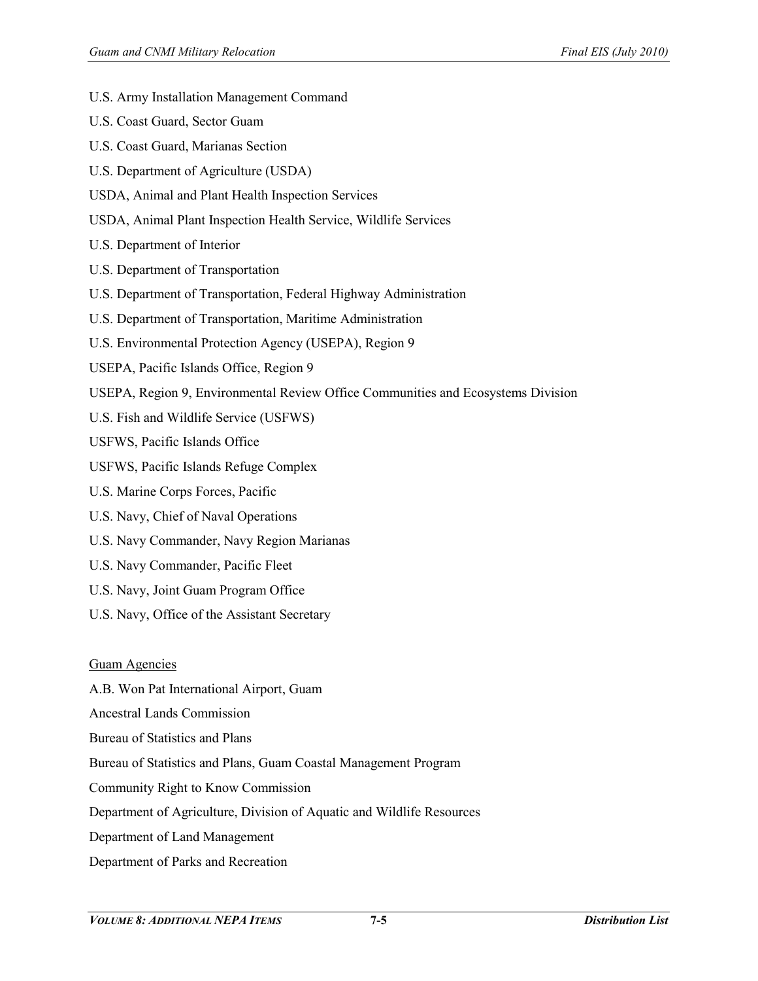- U.S. Army Installation Management Command
- U.S. Coast Guard, Sector Guam
- U.S. Coast Guard, Marianas Section
- U.S. Department of Agriculture (USDA)
- USDA, Animal and Plant Health Inspection Services
- USDA, Animal Plant Inspection Health Service, Wildlife Services
- U.S. Department of Interior
- U.S. Department of Transportation
- U.S. Department of Transportation, Federal Highway Administration
- U.S. Department of Transportation, Maritime Administration
- U.S. Environmental Protection Agency (USEPA), Region 9
- USEPA, Pacific Islands Office, Region 9
- USEPA, Region 9, Environmental Review Office Communities and Ecosystems Division
- U.S. Fish and Wildlife Service (USFWS)
- USFWS, Pacific Islands Office
- USFWS, Pacific Islands Refuge Complex
- U.S. Marine Corps Forces, Pacific
- U.S. Navy, Chief of Naval Operations
- U.S. Navy Commander, Navy Region Marianas
- U.S. Navy Commander, Pacific Fleet
- U.S. Navy, Joint Guam Program Office
- U.S. Navy, Office of the Assistant Secretary

#### Guam Agencies

- A.B. Won Pat International Airport, Guam
- Ancestral Lands Commission
- Bureau of Statistics and Plans
- Bureau of Statistics and Plans, Guam Coastal Management Program
- Community Right to Know Commission
- Department of Agriculture, Division of Aquatic and Wildlife Resources
- Department of Land Management
- Department of Parks and Recreation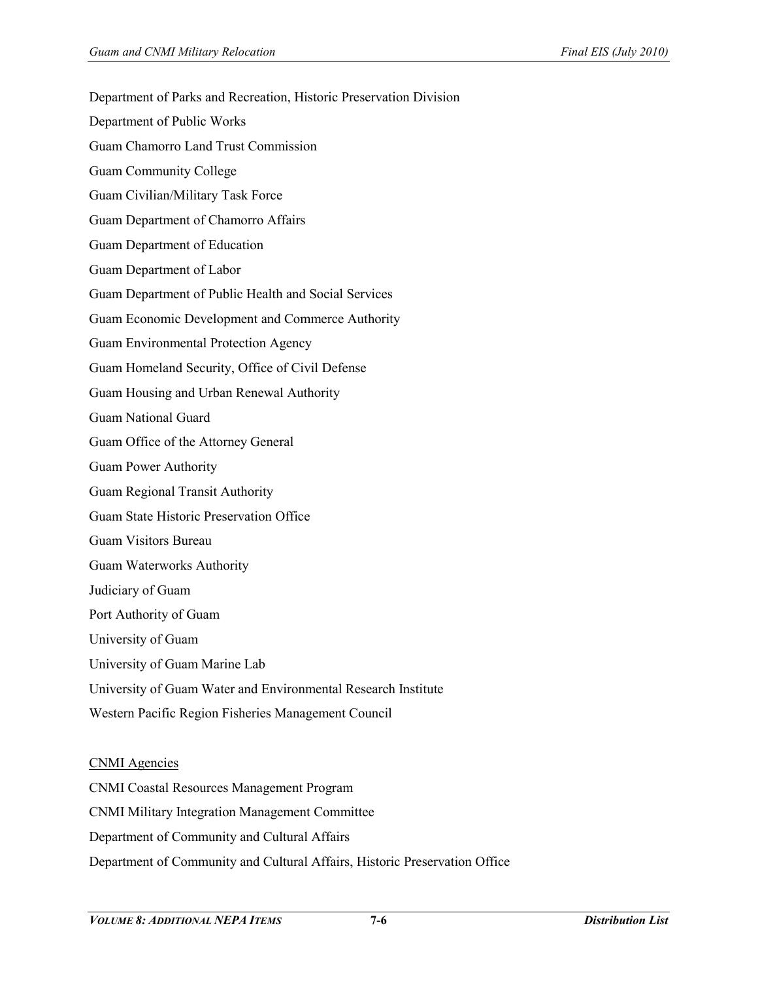Department of Parks and Recreation, Historic Preservation Division Department of Public Works Guam Chamorro Land Trust Commission Guam Community College Guam Civilian/Military Task Force Guam Department of Chamorro Affairs Guam Department of Education Guam Department of Labor Guam Department of Public Health and Social Services Guam Economic Development and Commerce Authority Guam Environmental Protection Agency Guam Homeland Security, Office of Civil Defense Guam Housing and Urban Renewal Authority Guam National Guard Guam Office of the Attorney General Guam Power Authority Guam Regional Transit Authority Guam State Historic Preservation Office Guam Visitors Bureau Guam Waterworks Authority Judiciary of Guam Port Authority of Guam University of Guam University of Guam Marine Lab University of Guam Water and Environmental Research Institute Western Pacific Region Fisheries Management Council

#### CNMI Agencies

CNMI Coastal Resources Management Program CNMI Military Integration Management Committee Department of Community and Cultural Affairs Department of Community and Cultural Affairs, Historic Preservation Office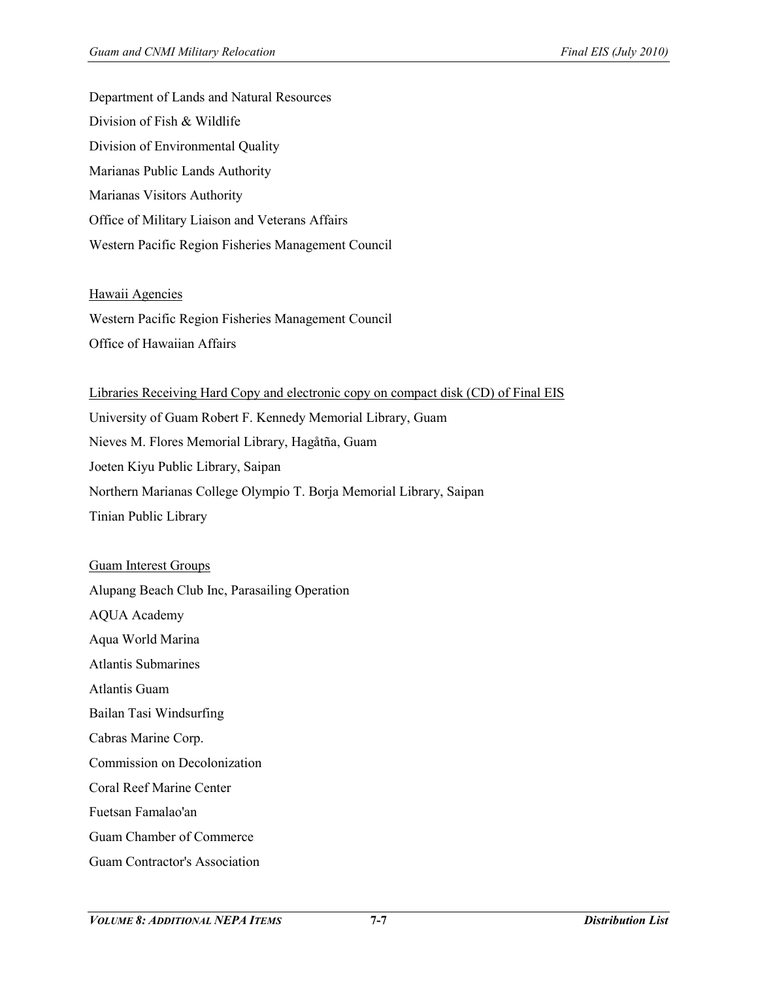Department of Lands and Natural Resources Division of Fish & Wildlife Division of Environmental Quality Marianas Public Lands Authority Marianas Visitors Authority Office of Military Liaison and Veterans Affairs Western Pacific Region Fisheries Management Council

#### Hawaii Agencies

Western Pacific Region Fisheries Management Council Office of Hawaiian Affairs

# Libraries Receiving Hard Copy and electronic copy on compact disk (CD) of Final EIS

University of Guam Robert F. Kennedy Memorial Library, Guam Nieves M. Flores Memorial Library, Hagåtña, Guam Joeten Kiyu Public Library, Saipan Northern Marianas College Olympio T. Borja Memorial Library, Saipan Tinian Public Library

## Guam Interest Groups

Alupang Beach Club Inc, Parasailing Operation

AQUA Academy

Aqua World Marina

Atlantis Submarines

Atlantis Guam

Bailan Tasi Windsurfing

Cabras Marine Corp.

Commission on Decolonization

Coral Reef Marine Center

Fuetsan Famalao'an

Guam Chamber of Commerce

Guam Contractor's Association